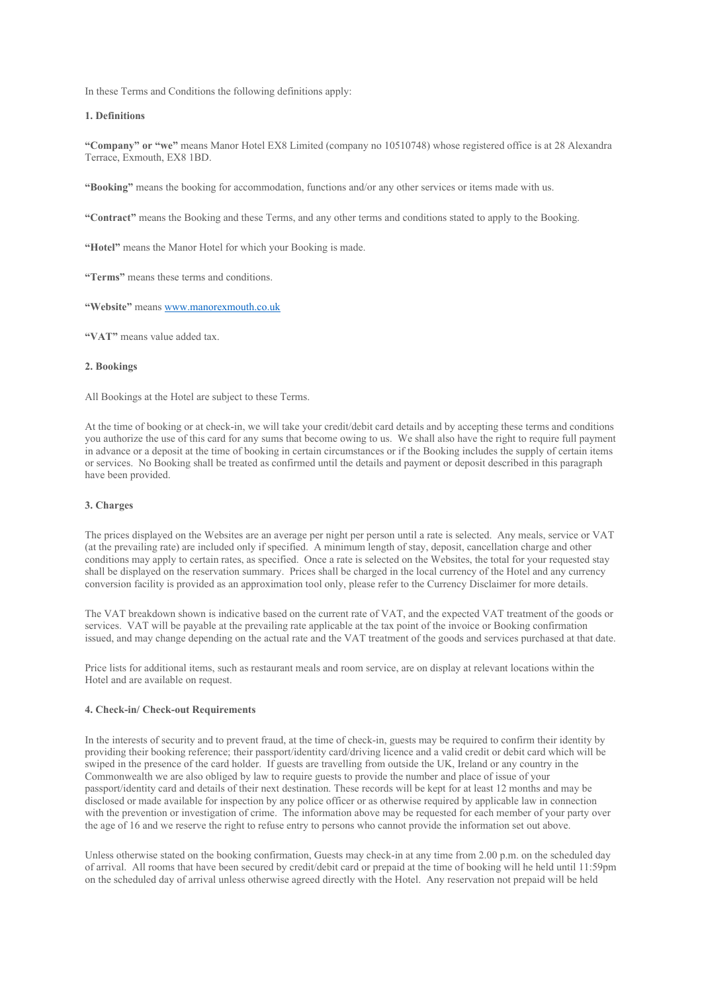In these Terms and Conditions the following definitions apply:

# **1. Definitions**

**"Company" or "we"** means Manor Hotel EX8 Limited (company no 10510748) whose registered office is at 28 Alexandra Terrace, Exmouth, EX8 1BD.

**"Booking"** means the booking for accommodation, functions and/or any other services or items made with us.

**"Contract"** means the Booking and these Terms, and any other terms and conditions stated to apply to the Booking.

**"Hotel"** means the Manor Hotel for which your Booking is made.

**"Terms"** means these terms and conditions.

**"Website"** mean[s www.manorexmouth.co.uk](http://www.manorexmouth.co.uk/)

**"VAT"** means value added tax.

# **2. Bookings**

All Bookings at the Hotel are subject to these Terms.

At the time of booking or at check-in, we will take your credit/debit card details and by accepting these terms and conditions you authorize the use of this card for any sums that become owing to us. We shall also have the right to require full payment in advance or a deposit at the time of booking in certain circumstances or if the Booking includes the supply of certain items or services. No Booking shall be treated as confirmed until the details and payment or deposit described in this paragraph have been provided.

## **3. Charges**

The prices displayed on the Websites are an average per night per person until a rate is selected. Any meals, service or VAT (at the prevailing rate) are included only if specified. A minimum length of stay, deposit, cancellation charge and other conditions may apply to certain rates, as specified. Once a rate is selected on the Websites, the total for your requested stay shall be displayed on the reservation summary. Prices shall be charged in the local currency of the Hotel and any currency conversion facility is provided as an approximation tool only, please refer to the Currency Disclaimer for more details.

The VAT breakdown shown is indicative based on the current rate of VAT, and the expected VAT treatment of the goods or services. VAT will be payable at the prevailing rate applicable at the tax point of the invoice or Booking confirmation issued, and may change depending on the actual rate and the VAT treatment of the goods and services purchased at that date.

Price lists for additional items, such as restaurant meals and room service, are on display at relevant locations within the Hotel and are available on request.

#### **4. Check-in/ Check-out Requirements**

In the interests of security and to prevent fraud, at the time of check-in, guests may be required to confirm their identity by providing their booking reference; their passport/identity card/driving licence and a valid credit or debit card which will be swiped in the presence of the card holder. If guests are travelling from outside the UK, Ireland or any country in the Commonwealth we are also obliged by law to require guests to provide the number and place of issue of your passport/identity card and details of their next destination. These records will be kept for at least 12 months and may be disclosed or made available for inspection by any police officer or as otherwise required by applicable law in connection with the prevention or investigation of crime. The information above may be requested for each member of your party over the age of 16 and we reserve the right to refuse entry to persons who cannot provide the information set out above.

Unless otherwise stated on the booking confirmation, Guests may check-in at any time from 2.00 p.m. on the scheduled day of arrival. All rooms that have been secured by credit/debit card or prepaid at the time of booking will he held until 11:59pm on the scheduled day of arrival unless otherwise agreed directly with the Hotel. Any reservation not prepaid will be held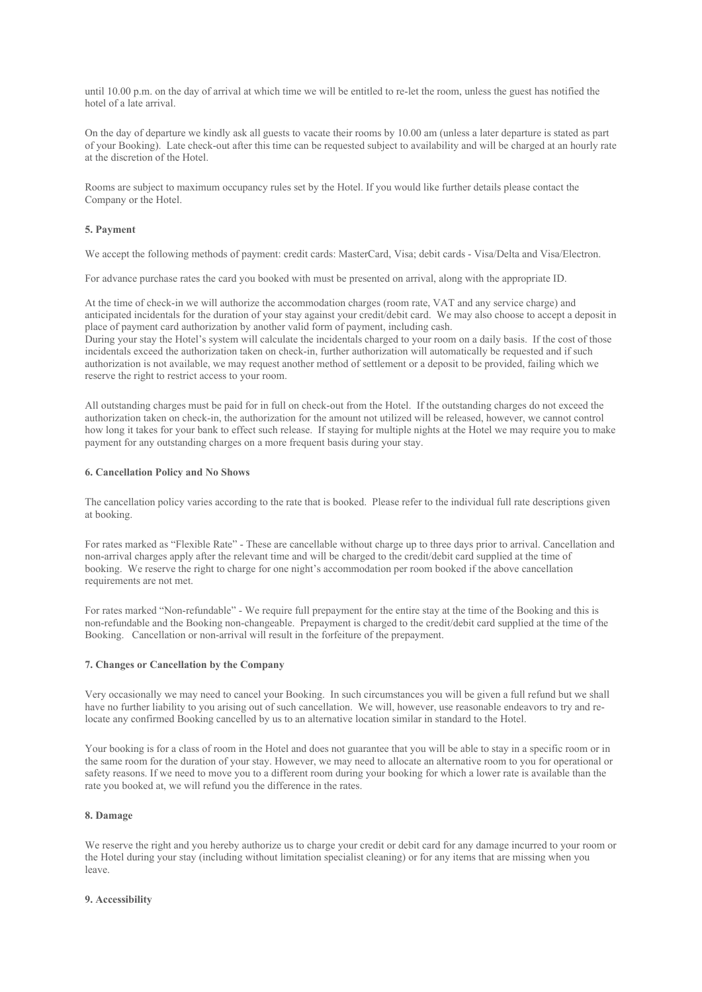until 10.00 p.m. on the day of arrival at which time we will be entitled to re-let the room, unless the guest has notified the hotel of a late arrival.

On the day of departure we kindly ask all guests to vacate their rooms by 10.00 am (unless a later departure is stated as part of your Booking). Late check-out after this time can be requested subject to availability and will be charged at an hourly rate at the discretion of the Hotel.

Rooms are subject to maximum occupancy rules set by the Hotel. If you would like further details please contact the Company or the Hotel.

# **5. Payment**

We accept the following methods of payment: credit cards: MasterCard, Visa; debit cards - Visa/Delta and Visa/Electron.

For advance purchase rates the card you booked with must be presented on arrival, along with the appropriate ID.

At the time of check-in we will authorize the accommodation charges (room rate, VAT and any service charge) and anticipated incidentals for the duration of your stay against your credit/debit card. We may also choose to accept a deposit in place of payment card authorization by another valid form of payment, including cash.

During your stay the Hotel's system will calculate the incidentals charged to your room on a daily basis. If the cost of those incidentals exceed the authorization taken on check-in, further authorization will automatically be requested and if such authorization is not available, we may request another method of settlement or a deposit to be provided, failing which we reserve the right to restrict access to your room.

All outstanding charges must be paid for in full on check-out from the Hotel. If the outstanding charges do not exceed the authorization taken on check-in, the authorization for the amount not utilized will be released, however, we cannot control how long it takes for your bank to effect such release. If staying for multiple nights at the Hotel we may require you to make payment for any outstanding charges on a more frequent basis during your stay.

# **6. Cancellation Policy and No Shows**

The cancellation policy varies according to the rate that is booked. Please refer to the individual full rate descriptions given at booking.

For rates marked as "Flexible Rate" - These are cancellable without charge up to three days prior to arrival. Cancellation and non-arrival charges apply after the relevant time and will be charged to the credit/debit card supplied at the time of booking. We reserve the right to charge for one night's accommodation per room booked if the above cancellation requirements are not met.

For rates marked "Non-refundable" - We require full prepayment for the entire stay at the time of the Booking and this is non-refundable and the Booking non-changeable. Prepayment is charged to the credit/debit card supplied at the time of the Booking. Cancellation or non-arrival will result in the forfeiture of the prepayment.

# **7. Changes or Cancellation by the Company**

Very occasionally we may need to cancel your Booking. In such circumstances you will be given a full refund but we shall have no further liability to you arising out of such cancellation. We will, however, use reasonable endeavors to try and relocate any confirmed Booking cancelled by us to an alternative location similar in standard to the Hotel.

Your booking is for a class of room in the Hotel and does not guarantee that you will be able to stay in a specific room or in the same room for the duration of your stay. However, we may need to allocate an alternative room to you for operational or safety reasons. If we need to move you to a different room during your booking for which a lower rate is available than the rate you booked at, we will refund you the difference in the rates.

## **8. Damage**

We reserve the right and you hereby authorize us to charge your credit or debit card for any damage incurred to your room or the Hotel during your stay (including without limitation specialist cleaning) or for any items that are missing when you leave.

## **9. Accessibility**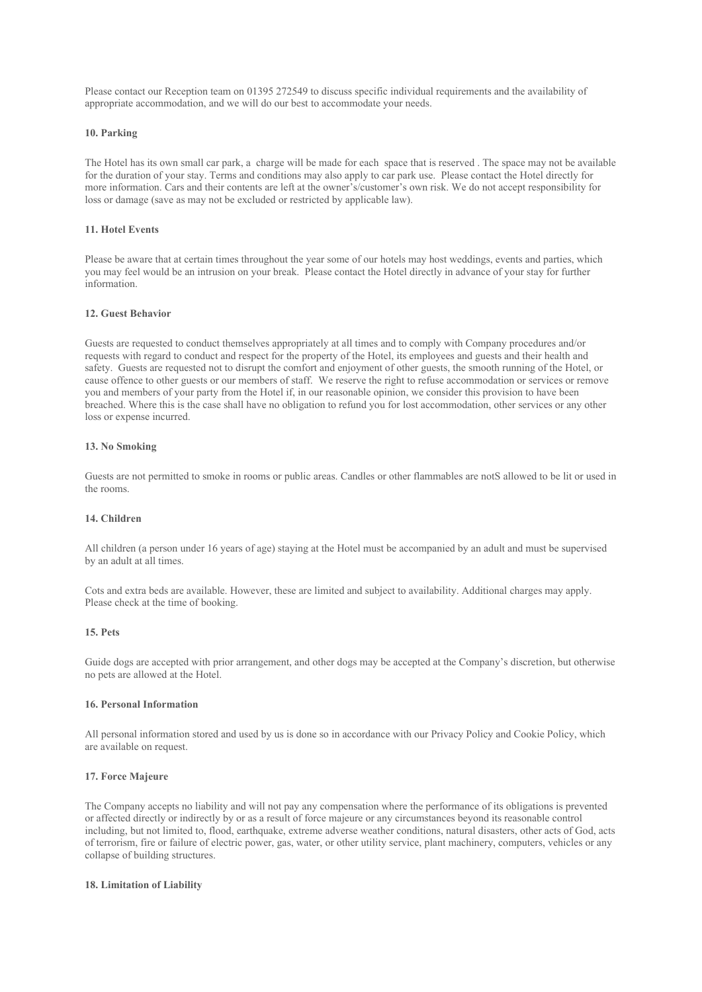Please contact our Reception team on 01395 272549 to discuss specific individual requirements and the availability of appropriate accommodation, and we will do our best to accommodate your needs.

# **10. Parking**

The Hotel has its own small car park, a charge will be made for each space that is reserved . The space may not be available for the duration of your stay. Terms and conditions may also apply to car park use. Please contact the Hotel directly for more information. Cars and their contents are left at the owner's/customer's own risk. We do not accept responsibility for loss or damage (save as may not be excluded or restricted by applicable law).

# **11. Hotel Events**

Please be aware that at certain times throughout the year some of our hotels may host weddings, events and parties, which you may feel would be an intrusion on your break. Please contact the Hotel directly in advance of your stay for further information.

#### **12. Guest Behavior**

Guests are requested to conduct themselves appropriately at all times and to comply with Company procedures and/or requests with regard to conduct and respect for the property of the Hotel, its employees and guests and their health and safety. Guests are requested not to disrupt the comfort and enjoyment of other guests, the smooth running of the Hotel, or cause offence to other guests or our members of staff. We reserve the right to refuse accommodation or services or remove you and members of your party from the Hotel if, in our reasonable opinion, we consider this provision to have been breached. Where this is the case shall have no obligation to refund you for lost accommodation, other services or any other loss or expense incurred.

# **13. No Smoking**

Guests are not permitted to smoke in rooms or public areas. Candles or other flammables are notS allowed to be lit or used in the rooms.

#### **14. Children**

All children (a person under 16 years of age) staying at the Hotel must be accompanied by an adult and must be supervised by an adult at all times.

Cots and extra beds are available. However, these are limited and subject to availability. Additional charges may apply. Please check at the time of booking.

# **15. Pets**

Guide dogs are accepted with prior arrangement, and other dogs may be accepted at the Company's discretion, but otherwise no pets are allowed at the Hotel.

# **16. Personal Information**

All personal information stored and used by us is done so in accordance with our Privacy Policy and Cookie Policy, which are available on request.

## **17. Force Majeure**

The Company accepts no liability and will not pay any compensation where the performance of its obligations is prevented or affected directly or indirectly by or as a result of force majeure or any circumstances beyond its reasonable control including, but not limited to, flood, earthquake, extreme adverse weather conditions, natural disasters, other acts of God, acts of terrorism, fire or failure of electric power, gas, water, or other utility service, plant machinery, computers, vehicles or any collapse of building structures.

# **18. Limitation of Liability**